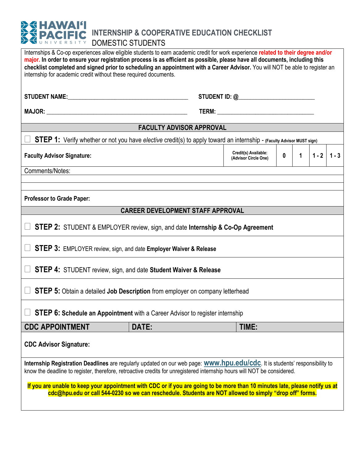**INTERNSHIP & COOPERATIVE EDUCATION CHECKLIST** DOMESTIC STUDENTS

Internships & Co-op experiences allow eligible students to earn academic credit for work experience **related to their degree and/or major***.* **In order to ensure your registration process is as efficient as possible, please have all documents, including this** 

**checklist completed and signed prior to scheduling an appointment with a Career Advisor.** You will NOT be able to register an internship for academic credit without these required documents. **STUDENT NAME:\_\_\_\_\_\_\_\_\_\_\_\_\_\_\_\_\_\_\_\_\_\_\_\_\_\_\_\_\_\_\_\_\_\_\_\_\_\_\_\_\_ STUDENT ID: @\_\_\_\_\_\_\_\_\_\_\_\_\_\_\_\_\_\_\_\_\_\_\_\_\_\_ MAJOR:** TERM: **FACULTY ADVISOR APPROVAL STEP 1:** Verify whether or not you have *elective* credit(s) to apply toward an internship - **(Faculty Advisor MUST sign) Faculty Advisor Signature: Credit(s)** Available: **(Advisor Circle One) 0 1 1 - 2 1 - 3** Comments/Notes: **Professor to Grade Paper: CAREER DEVELOPMENT STAFF APPROVAL STEP 2:** STUDENT & EMPLOYER review, sign, and date **Internship & Co-Op Agreement STEP 3:** EMPLOYER review, sign, and date **Employer Waiver & Release STEP 4:** STUDENT review, sign, and date **Student Waiver & Release STEP 5:** Obtain a detailed **Job Description** from employer on company letterhead **STEP 6: Schedule an Appointment** with a Career Advisor to register internship **CDC APPOINTMENT DATE: TIME: CDC Advisor Signature: Internship Registration Deadlines** are regularly updated on our web page: **[www.hpu.edu/cdc](file://///hpu/dfs/dept/CareerServicesCenter/public/ADMIN/Masters/New%20Internship%20&%20Coop%20Forms/Revised%20Checklists/www.hpu.edu/cdc)**. It is students' responsibility to know the deadline to register, therefore, retroactive credits for unregistered internship hours will NOT be considered. **If you are unable to keep your appointment with CDC or if you are going to be more than 10 minutes late, please notify us at cdc@hpu.edu or call 544-0230 so we can reschedule. Students are NOT allowed to simply "drop off" forms.**